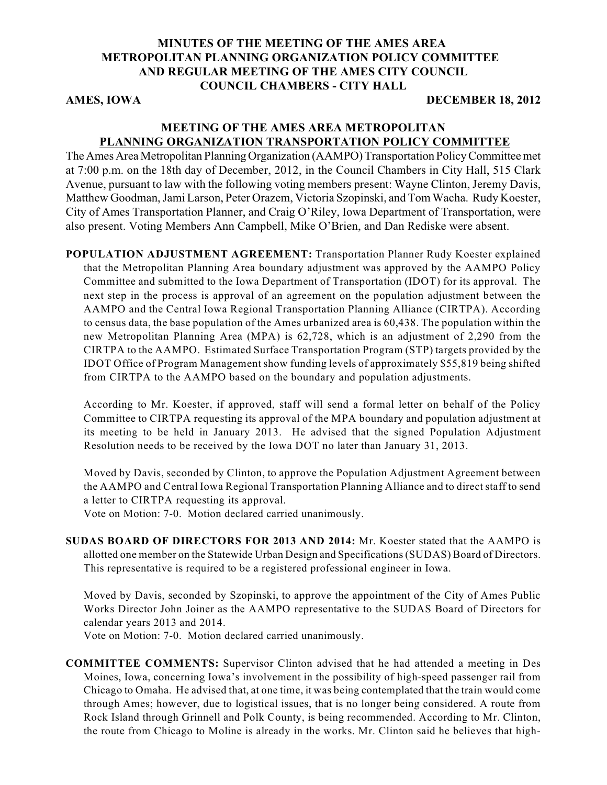### **MINUTES OF THE MEETING OF THE AMES AREA METROPOLITAN PLANNING ORGANIZATION POLICY COMMITTEE AND REGULAR MEETING OF THE AMES CITY COUNCIL COUNCIL CHAMBERS - CITY HALL**

#### **AMES, IOWA** DECEMBER 18, 2012

#### **MEETING OF THE AMES AREA METROPOLITAN PLANNING ORGANIZATION TRANSPORTATION POLICY COMMITTEE**

The Ames Area Metropolitan Planning Organization (AAMPO) Transportation Policy Committee met at 7:00 p.m. on the 18th day of December, 2012, in the Council Chambers in City Hall, 515 Clark Avenue, pursuant to law with the following voting members present: Wayne Clinton, Jeremy Davis, Matthew Goodman, Jami Larson, Peter Orazem, Victoria Szopinski, and Tom Wacha. Rudy Koester, City of Ames Transportation Planner, and Craig O'Riley, Iowa Department of Transportation, were also present. Voting Members Ann Campbell, Mike O'Brien, and Dan Rediske were absent.

**POPULATION ADJUSTMENT AGREEMENT:** Transportation Planner Rudy Koester explained that the Metropolitan Planning Area boundary adjustment was approved by the AAMPO Policy Committee and submitted to the Iowa Department of Transportation (IDOT) for its approval. The next step in the process is approval of an agreement on the population adjustment between the AAMPO and the Central Iowa Regional Transportation Planning Alliance (CIRTPA). According to census data, the base population of the Ames urbanized area is 60,438. The population within the new Metropolitan Planning Area (MPA) is 62,728, which is an adjustment of 2,290 from the CIRTPA to the AAMPO. Estimated Surface Transportation Program (STP) targets provided by the IDOT Office of Program Management show funding levels of approximately \$55,819 being shifted from CIRTPA to the AAMPO based on the boundary and population adjustments.

According to Mr. Koester, if approved, staff will send a formal letter on behalf of the Policy Committee to CIRTPA requesting its approval of the MPA boundary and population adjustment at its meeting to be held in January 2013. He advised that the signed Population Adjustment Resolution needs to be received by the Iowa DOT no later than January 31, 2013.

Moved by Davis, seconded by Clinton, to approve the Population Adjustment Agreement between the AAMPO and Central Iowa Regional Transportation Planning Alliance and to direct staff to send a letter to CIRTPA requesting its approval.

Vote on Motion: 7-0. Motion declared carried unanimously.

**SUDAS BOARD OF DIRECTORS FOR 2013 AND 2014:** Mr. Koester stated that the AAMPO is allotted one member on the Statewide Urban Design and Specifications (SUDAS) Board of Directors. This representative is required to be a registered professional engineer in Iowa.

Moved by Davis, seconded by Szopinski, to approve the appointment of the City of Ames Public Works Director John Joiner as the AAMPO representative to the SUDAS Board of Directors for calendar years 2013 and 2014.

Vote on Motion: 7-0. Motion declared carried unanimously.

**COMMITTEE COMMENTS:** Supervisor Clinton advised that he had attended a meeting in Des Moines, Iowa, concerning Iowa's involvement in the possibility of high-speed passenger rail from Chicago to Omaha. He advised that, at one time, it was being contemplated that the train would come through Ames; however, due to logistical issues, that is no longer being considered. A route from Rock Island through Grinnell and Polk County, is being recommended. According to Mr. Clinton, the route from Chicago to Moline is already in the works. Mr. Clinton said he believes that high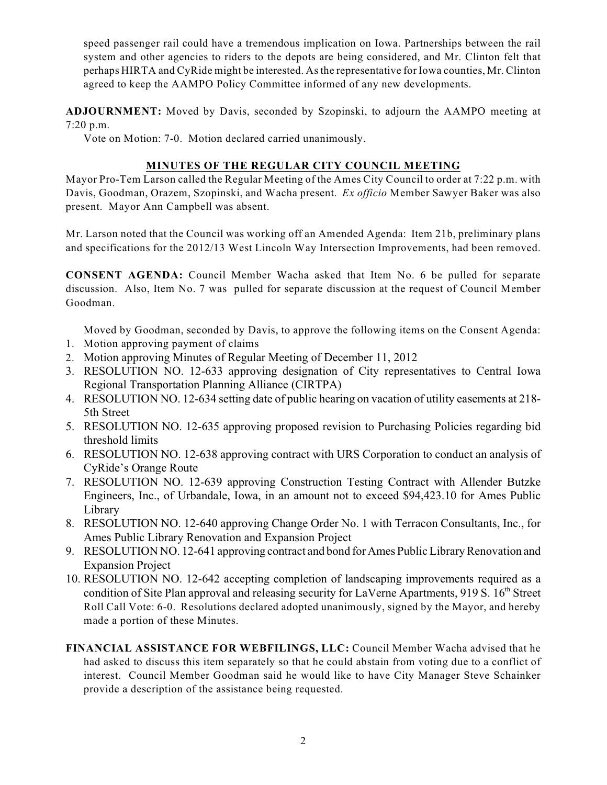speed passenger rail could have a tremendous implication on Iowa. Partnerships between the rail system and other agencies to riders to the depots are being considered, and Mr. Clinton felt that perhaps HIRTA and CyRide might be interested. As the representative for Iowa counties, Mr. Clinton agreed to keep the AAMPO Policy Committee informed of any new developments.

**ADJOURNMENT:** Moved by Davis, seconded by Szopinski, to adjourn the AAMPO meeting at 7:20 p.m.

Vote on Motion: 7-0. Motion declared carried unanimously.

# **MINUTES OF THE REGULAR CITY COUNCIL MEETING**

Mayor Pro-Tem Larson called the Regular Meeting of the Ames City Council to order at 7:22 p.m. with Davis, Goodman, Orazem, Szopinski, and Wacha present. *Ex officio* Member Sawyer Baker was also present. Mayor Ann Campbell was absent.

Mr. Larson noted that the Council was working off an Amended Agenda: Item 21b, preliminary plans and specifications for the 2012/13 West Lincoln Way Intersection Improvements, had been removed.

**CONSENT AGENDA:** Council Member Wacha asked that Item No. 6 be pulled for separate discussion. Also, Item No. 7 was pulled for separate discussion at the request of Council Member Goodman.

Moved by Goodman, seconded by Davis, to approve the following items on the Consent Agenda:

- 1. Motion approving payment of claims
- 2. Motion approving Minutes of Regular Meeting of December 11, 2012
- 3. RESOLUTION NO. 12-633 approving designation of City representatives to Central Iowa Regional Transportation Planning Alliance (CIRTPA)
- 4. RESOLUTION NO. 12-634 setting date of public hearing on vacation of utility easements at 218- 5th Street
- 5. RESOLUTION NO. 12-635 approving proposed revision to Purchasing Policies regarding bid threshold limits
- 6. RESOLUTION NO. 12-638 approving contract with URS Corporation to conduct an analysis of CyRide's Orange Route
- 7. RESOLUTION NO. 12-639 approving Construction Testing Contract with Allender Butzke Engineers, Inc., of Urbandale, Iowa, in an amount not to exceed \$94,423.10 for Ames Public Library
- 8. RESOLUTION NO. 12-640 approving Change Order No. 1 with Terracon Consultants, Inc., for Ames Public Library Renovation and Expansion Project
- 9. RESOLUTION NO. 12-641 approving contract and bond for Ames Public Library Renovation and Expansion Project
- 10. RESOLUTION NO. 12-642 accepting completion of landscaping improvements required as a condition of Site Plan approval and releasing security for LaVerne Apartments, 919 S. 16<sup>th</sup> Street Roll Call Vote: 6-0. Resolutions declared adopted unanimously, signed by the Mayor, and hereby made a portion of these Minutes.
- **FINANCIAL ASSISTANCE FOR WEBFILINGS, LLC:** Council Member Wacha advised that he had asked to discuss this item separately so that he could abstain from voting due to a conflict of interest. Council Member Goodman said he would like to have City Manager Steve Schainker provide a description of the assistance being requested.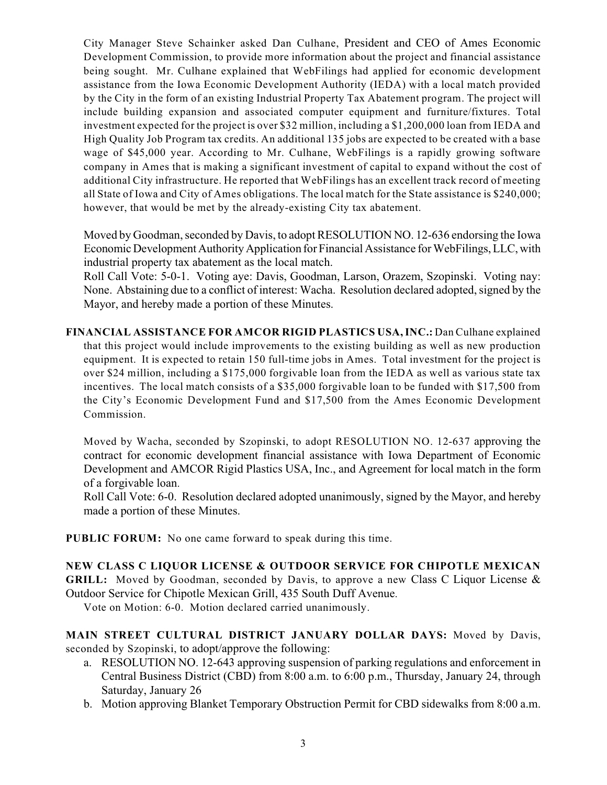City Manager Steve Schainker asked Dan Culhane, President and CEO of Ames Economic Development Commission, to provide more information about the project and financial assistance being sought. Mr. Culhane explained that WebFilings had applied for economic development assistance from the Iowa Economic Development Authority (IEDA) with a local match provided by the City in the form of an existing Industrial Property Tax Abatement program. The project will include building expansion and associated computer equipment and furniture/fixtures. Total investment expected for the project is over \$32 million, including a \$1,200,000 loan from IEDA and High Quality Job Program tax credits. An additional 135 jobs are expected to be created with a base wage of \$45,000 year. According to Mr. Culhane, WebFilings is a rapidly growing software company in Ames that is making a significant investment of capital to expand without the cost of additional City infrastructure. He reported that WebFilings has an excellent track record of meeting all State of Iowa and City of Ames obligations. The local match for the State assistance is \$240,000; however, that would be met by the already-existing City tax abatement.

Moved by Goodman, seconded by Davis, to adopt RESOLUTION NO. 12-636 endorsing the Iowa Economic Development Authority Application for Financial Assistance for WebFilings, LLC, with industrial property tax abatement as the local match.

Roll Call Vote: 5-0-1. Voting aye: Davis, Goodman, Larson, Orazem, Szopinski. Voting nay: None. Abstaining due to a conflict of interest: Wacha. Resolution declared adopted, signed by the Mayor, and hereby made a portion of these Minutes.

**FINANCIAL ASSISTANCE FOR AMCOR RIGID PLASTICS USA, INC.:** Dan Culhane explained that this project would include improvements to the existing building as well as new production equipment. It is expected to retain 150 full-time jobs in Ames. Total investment for the project is over \$24 million, including a \$175,000 forgivable loan from the IEDA as well as various state tax incentives. The local match consists of a \$35,000 forgivable loan to be funded with \$17,500 from the City's Economic Development Fund and \$17,500 from the Ames Economic Development Commission.

Moved by Wacha, seconded by Szopinski, to adopt RESOLUTION NO. 12-637 approving the contract for economic development financial assistance with Iowa Department of Economic Development and AMCOR Rigid Plastics USA, Inc., and Agreement for local match in the form of a forgivable loan.

Roll Call Vote: 6-0. Resolution declared adopted unanimously, signed by the Mayor, and hereby made a portion of these Minutes.

**PUBLIC FORUM:** No one came forward to speak during this time.

# **NEW CLASS C LIQUOR LICENSE & OUTDOOR SERVICE FOR CHIPOTLE MEXICAN**

**GRILL:** Moved by Goodman, seconded by Davis, to approve a new Class C Liquor License & Outdoor Service for Chipotle Mexican Grill, 435 South Duff Avenue.

Vote on Motion: 6-0. Motion declared carried unanimously.

**MAIN STREET CULTURAL DISTRICT JANUARY DOLLAR DAYS:** Moved by Davis, seconded by Szopinski, to adopt/approve the following:

- a. RESOLUTION NO. 12-643 approving suspension of parking regulations and enforcement in Central Business District (CBD) from 8:00 a.m. to 6:00 p.m., Thursday, January 24, through Saturday, January 26
- b. Motion approving Blanket Temporary Obstruction Permit for CBD sidewalks from 8:00 a.m.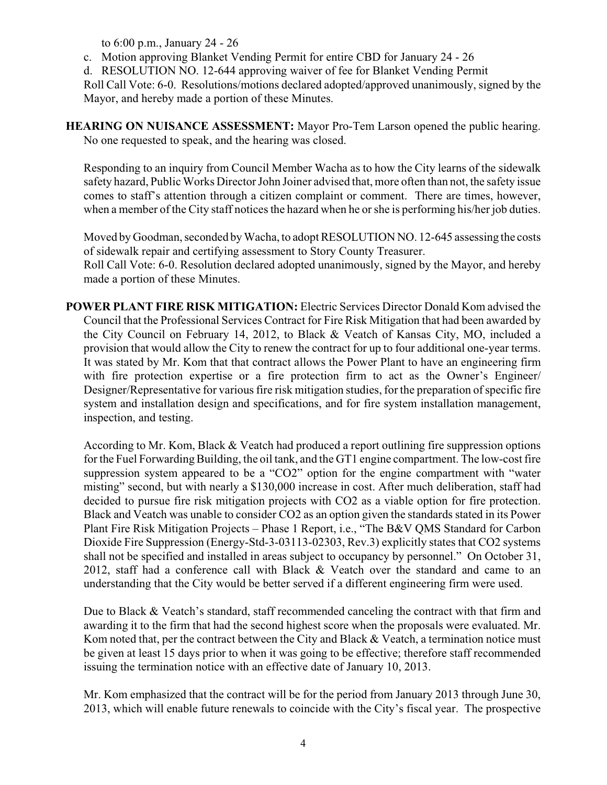to 6:00 p.m., January 24 - 26

c. Motion approving Blanket Vending Permit for entire CBD for January 24 - 26

d. RESOLUTION NO. 12-644 approving waiver of fee for Blanket Vending Permit

Roll Call Vote: 6-0. Resolutions/motions declared adopted/approved unanimously, signed by the Mayor, and hereby made a portion of these Minutes.

**HEARING ON NUISANCE ASSESSMENT:** Mayor Pro-Tem Larson opened the public hearing. No one requested to speak, and the hearing was closed.

Responding to an inquiry from Council Member Wacha as to how the City learns of the sidewalk safety hazard, Public Works Director John Joiner advised that, more often than not, the safety issue comes to staff's attention through a citizen complaint or comment. There are times, however, when a member of the City staff notices the hazard when he or she is performing his/her job duties.

Moved by Goodman, seconded by Wacha, to adopt RESOLUTION NO. 12-645 assessing the costs of sidewalk repair and certifying assessment to Story County Treasurer. Roll Call Vote: 6-0. Resolution declared adopted unanimously, signed by the Mayor, and hereby

made a portion of these Minutes.

**POWER PLANT FIRE RISK MITIGATION:** Electric Services Director Donald Kom advised the Council that the Professional Services Contract for Fire Risk Mitigation that had been awarded by the City Council on February 14, 2012, to Black & Veatch of Kansas City, MO, included a provision that would allow the City to renew the contract for up to four additional one-year terms. It was stated by Mr. Kom that that contract allows the Power Plant to have an engineering firm with fire protection expertise or a fire protection firm to act as the Owner's Engineer/ Designer/Representative for various fire risk mitigation studies, for the preparation of specific fire system and installation design and specifications, and for fire system installation management, inspection, and testing.

According to Mr. Kom, Black & Veatch had produced a report outlining fire suppression options for the Fuel Forwarding Building, the oil tank, and the GT1 engine compartment. The low-cost fire suppression system appeared to be a "CO2" option for the engine compartment with "water misting" second, but with nearly a \$130,000 increase in cost. After much deliberation, staff had decided to pursue fire risk mitigation projects with CO2 as a viable option for fire protection. Black and Veatch was unable to consider CO2 as an option given the standards stated in its Power Plant Fire Risk Mitigation Projects – Phase 1 Report, i.e., "The B&V QMS Standard for Carbon Dioxide Fire Suppression (Energy-Std-3-03113-02303, Rev.3) explicitly states that CO2 systems shall not be specified and installed in areas subject to occupancy by personnel." On October 31, 2012, staff had a conference call with Black & Veatch over the standard and came to an understanding that the City would be better served if a different engineering firm were used.

Due to Black & Veatch's standard, staff recommended canceling the contract with that firm and awarding it to the firm that had the second highest score when the proposals were evaluated. Mr. Kom noted that, per the contract between the City and Black & Veatch, a termination notice must be given at least 15 days prior to when it was going to be effective; therefore staff recommended issuing the termination notice with an effective date of January 10, 2013.

Mr. Kom emphasized that the contract will be for the period from January 2013 through June 30, 2013, which will enable future renewals to coincide with the City's fiscal year. The prospective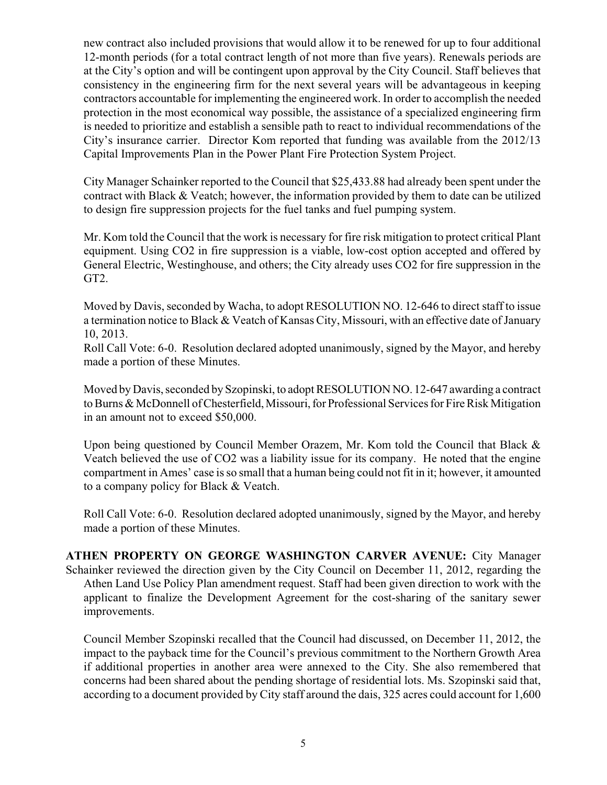new contract also included provisions that would allow it to be renewed for up to four additional 12-month periods (for a total contract length of not more than five years). Renewals periods are at the City's option and will be contingent upon approval by the City Council. Staff believes that consistency in the engineering firm for the next several years will be advantageous in keeping contractors accountable for implementing the engineered work. In order to accomplish the needed protection in the most economical way possible, the assistance of a specialized engineering firm is needed to prioritize and establish a sensible path to react to individual recommendations of the City's insurance carrier. Director Kom reported that funding was available from the 2012/13 Capital Improvements Plan in the Power Plant Fire Protection System Project.

City Manager Schainker reported to the Council that \$25,433.88 had already been spent under the contract with Black & Veatch; however, the information provided by them to date can be utilized to design fire suppression projects for the fuel tanks and fuel pumping system.

Mr. Kom told the Council that the work is necessary for fire risk mitigation to protect critical Plant equipment. Using CO2 in fire suppression is a viable, low-cost option accepted and offered by General Electric, Westinghouse, and others; the City already uses CO2 for fire suppression in the GT2.

Moved by Davis, seconded by Wacha, to adopt RESOLUTION NO. 12-646 to direct staff to issue a termination notice to Black & Veatch of Kansas City, Missouri, with an effective date of January 10, 2013.

Roll Call Vote: 6-0. Resolution declared adopted unanimously, signed by the Mayor, and hereby made a portion of these Minutes.

Moved by Davis, seconded by Szopinski, to adopt RESOLUTION NO. 12-647 awarding a contract to Burns & McDonnell of Chesterfield, Missouri, for Professional Services for Fire Risk Mitigation in an amount not to exceed \$50,000.

Upon being questioned by Council Member Orazem, Mr. Kom told the Council that Black & Veatch believed the use of CO2 was a liability issue for its company. He noted that the engine compartment in Ames' case is so small that a human being could not fit in it; however, it amounted to a company policy for Black & Veatch.

Roll Call Vote: 6-0. Resolution declared adopted unanimously, signed by the Mayor, and hereby made a portion of these Minutes.

**ATHEN PROPERTY ON GEORGE WASHINGTON CARVER AVENUE:** City Manager Schainker reviewed the direction given by the City Council on December 11, 2012, regarding the Athen Land Use Policy Plan amendment request. Staff had been given direction to work with the applicant to finalize the Development Agreement for the cost-sharing of the sanitary sewer improvements.

Council Member Szopinski recalled that the Council had discussed, on December 11, 2012, the impact to the payback time for the Council's previous commitment to the Northern Growth Area if additional properties in another area were annexed to the City. She also remembered that concerns had been shared about the pending shortage of residential lots. Ms. Szopinski said that, according to a document provided by City staff around the dais, 325 acres could account for 1,600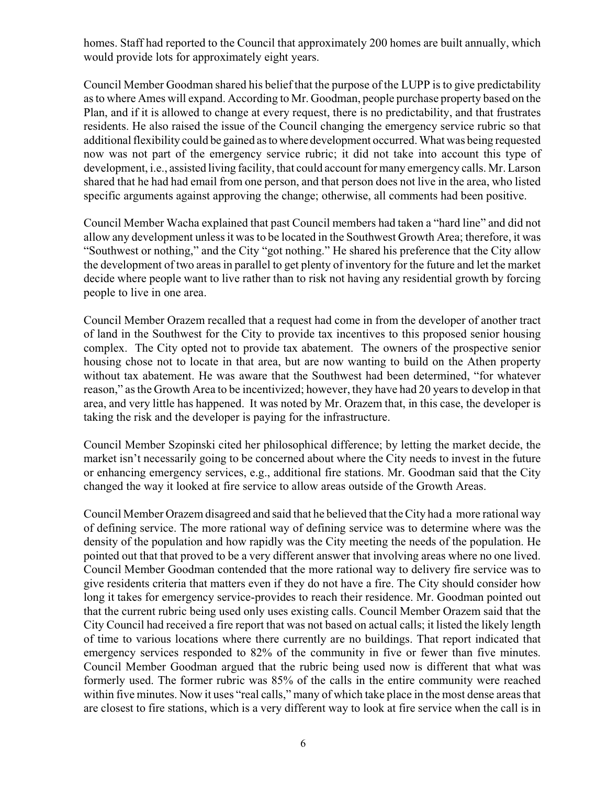homes. Staff had reported to the Council that approximately 200 homes are built annually, which would provide lots for approximately eight years.

Council Member Goodman shared his belief that the purpose of the LUPP is to give predictability as to where Ames will expand. According to Mr. Goodman, people purchase property based on the Plan, and if it is allowed to change at every request, there is no predictability, and that frustrates residents. He also raised the issue of the Council changing the emergency service rubric so that additional flexibility could be gained as to where development occurred. What was being requested now was not part of the emergency service rubric; it did not take into account this type of development, i.e., assisted living facility, that could account for many emergency calls. Mr. Larson shared that he had had email from one person, and that person does not live in the area, who listed specific arguments against approving the change; otherwise, all comments had been positive.

Council Member Wacha explained that past Council members had taken a "hard line" and did not allow any development unless it was to be located in the Southwest Growth Area; therefore, it was "Southwest or nothing," and the City "got nothing." He shared his preference that the City allow the development of two areas in parallel to get plenty of inventory for the future and let the market decide where people want to live rather than to risk not having any residential growth by forcing people to live in one area.

Council Member Orazem recalled that a request had come in from the developer of another tract of land in the Southwest for the City to provide tax incentives to this proposed senior housing complex. The City opted not to provide tax abatement. The owners of the prospective senior housing chose not to locate in that area, but are now wanting to build on the Athen property without tax abatement. He was aware that the Southwest had been determined, "for whatever reason," as the Growth Area to be incentivized; however, they have had 20 years to develop in that area, and very little has happened. It was noted by Mr. Orazem that, in this case, the developer is taking the risk and the developer is paying for the infrastructure.

Council Member Szopinski cited her philosophical difference; by letting the market decide, the market isn't necessarily going to be concerned about where the City needs to invest in the future or enhancing emergency services, e.g., additional fire stations. Mr. Goodman said that the City changed the way it looked at fire service to allow areas outside of the Growth Areas.

Council Member Orazem disagreed and said that he believed that the City had a more rational way of defining service. The more rational way of defining service was to determine where was the density of the population and how rapidly was the City meeting the needs of the population. He pointed out that that proved to be a very different answer that involving areas where no one lived. Council Member Goodman contended that the more rational way to delivery fire service was to give residents criteria that matters even if they do not have a fire. The City should consider how long it takes for emergency service-provides to reach their residence. Mr. Goodman pointed out that the current rubric being used only uses existing calls. Council Member Orazem said that the City Council had received a fire report that was not based on actual calls; it listed the likely length of time to various locations where there currently are no buildings. That report indicated that emergency services responded to 82% of the community in five or fewer than five minutes. Council Member Goodman argued that the rubric being used now is different that what was formerly used. The former rubric was 85% of the calls in the entire community were reached within five minutes. Now it uses "real calls," many of which take place in the most dense areas that are closest to fire stations, which is a very different way to look at fire service when the call is in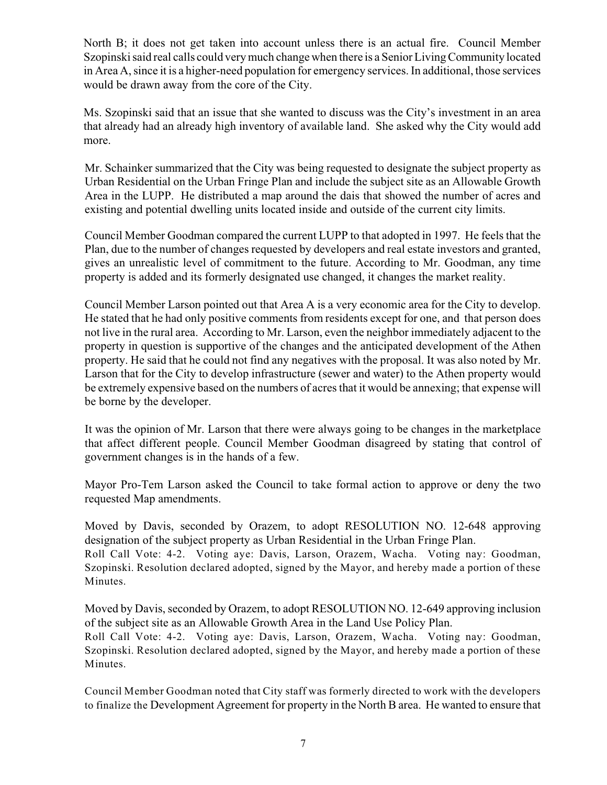North B; it does not get taken into account unless there is an actual fire. Council Member Szopinski said real calls could very much change when there is a Senior Living Community located in Area A, since it is a higher-need population for emergency services. In additional, those services would be drawn away from the core of the City.

Ms. Szopinski said that an issue that she wanted to discuss was the City's investment in an area that already had an already high inventory of available land. She asked why the City would add more.

Mr. Schainker summarized that the City was being requested to designate the subject property as Urban Residential on the Urban Fringe Plan and include the subject site as an Allowable Growth Area in the LUPP. He distributed a map around the dais that showed the number of acres and existing and potential dwelling units located inside and outside of the current city limits.

Council Member Goodman compared the current LUPP to that adopted in 1997. He feels that the Plan, due to the number of changes requested by developers and real estate investors and granted, gives an unrealistic level of commitment to the future. According to Mr. Goodman, any time property is added and its formerly designated use changed, it changes the market reality.

Council Member Larson pointed out that Area A is a very economic area for the City to develop. He stated that he had only positive comments from residents except for one, and that person does not live in the rural area. According to Mr. Larson, even the neighbor immediately adjacent to the property in question is supportive of the changes and the anticipated development of the Athen property. He said that he could not find any negatives with the proposal. It was also noted by Mr. Larson that for the City to develop infrastructure (sewer and water) to the Athen property would be extremely expensive based on the numbers of acres that it would be annexing; that expense will be borne by the developer.

It was the opinion of Mr. Larson that there were always going to be changes in the marketplace that affect different people. Council Member Goodman disagreed by stating that control of government changes is in the hands of a few.

Mayor Pro-Tem Larson asked the Council to take formal action to approve or deny the two requested Map amendments.

Moved by Davis, seconded by Orazem, to adopt RESOLUTION NO. 12-648 approving designation of the subject property as Urban Residential in the Urban Fringe Plan. Roll Call Vote: 4-2. Voting aye: Davis, Larson, Orazem, Wacha. Voting nay: Goodman, Szopinski. Resolution declared adopted, signed by the Mayor, and hereby made a portion of these Minutes.

Moved by Davis, seconded by Orazem, to adopt RESOLUTION NO. 12-649 approving inclusion of the subject site as an Allowable Growth Area in the Land Use Policy Plan.

Roll Call Vote: 4-2. Voting aye: Davis, Larson, Orazem, Wacha. Voting nay: Goodman, Szopinski. Resolution declared adopted, signed by the Mayor, and hereby made a portion of these Minutes.

Council Member Goodman noted that City staff was formerly directed to work with the developers to finalize the Development Agreement for property in the North B area. He wanted to ensure that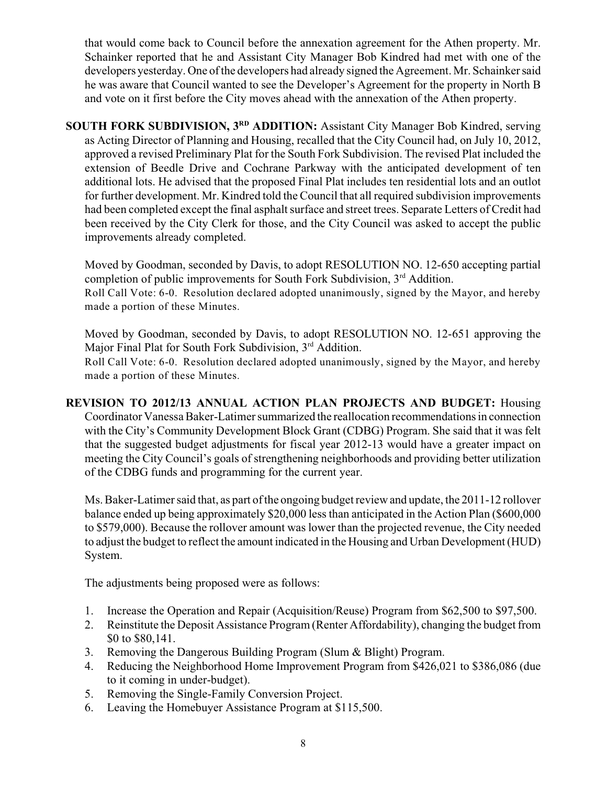that would come back to Council before the annexation agreement for the Athen property. Mr. Schainker reported that he and Assistant City Manager Bob Kindred had met with one of the developers yesterday. One of the developers had already signed the Agreement. Mr. Schainker said he was aware that Council wanted to see the Developer's Agreement for the property in North B and vote on it first before the City moves ahead with the annexation of the Athen property.

**SOUTH FORK SUBDIVISION, 3<sup>RD</sup> ADDITION:** Assistant City Manager Bob Kindred, serving as Acting Director of Planning and Housing, recalled that the City Council had, on July 10, 2012, approved a revised Preliminary Plat for the South Fork Subdivision. The revised Plat included the extension of Beedle Drive and Cochrane Parkway with the anticipated development of ten additional lots. He advised that the proposed Final Plat includes ten residential lots and an outlot for further development. Mr. Kindred told the Council that all required subdivision improvements had been completed except the final asphalt surface and street trees. Separate Letters of Credit had been received by the City Clerk for those, and the City Council was asked to accept the public improvements already completed.

Moved by Goodman, seconded by Davis, to adopt RESOLUTION NO. 12-650 accepting partial completion of public improvements for South Fork Subdivision,  $3<sup>rd</sup>$  Addition. Roll Call Vote: 6-0. Resolution declared adopted unanimously, signed by the Mayor, and hereby made a portion of these Minutes.

Moved by Goodman, seconded by Davis, to adopt RESOLUTION NO. 12-651 approving the Major Final Plat for South Fork Subdivision,  $3<sup>rd</sup>$  Addition. Roll Call Vote: 6-0. Resolution declared adopted unanimously, signed by the Mayor, and hereby made a portion of these Minutes.

**REVISION TO 2012/13 ANNUAL ACTION PLAN PROJECTS AND BUDGET:** Housing Coordinator Vanessa Baker-Latimer summarized the reallocation recommendations in connection with the City's Community Development Block Grant (CDBG) Program. She said that it was felt that the suggested budget adjustments for fiscal year 2012-13 would have a greater impact on meeting the City Council's goals of strengthening neighborhoods and providing better utilization of the CDBG funds and programming for the current year.

Ms. Baker-Latimer said that, as part of the ongoing budget review and update, the 2011-12 rollover balance ended up being approximately \$20,000 less than anticipated in the Action Plan (\$600,000 to \$579,000). Because the rollover amount was lower than the projected revenue, the City needed to adjust the budget to reflect the amount indicated in the Housing and Urban Development (HUD) System.

The adjustments being proposed were as follows:

- 1. Increase the Operation and Repair (Acquisition/Reuse) Program from \$62,500 to \$97,500.
- 2. Reinstitute the Deposit Assistance Program (Renter Affordability), changing the budget from \$0 to \$80,141.
- 3. Removing the Dangerous Building Program (Slum & Blight) Program.
- 4. Reducing the Neighborhood Home Improvement Program from \$426,021 to \$386,086 (due to it coming in under-budget).
- 5. Removing the Single-Family Conversion Project.
- 6. Leaving the Homebuyer Assistance Program at \$115,500.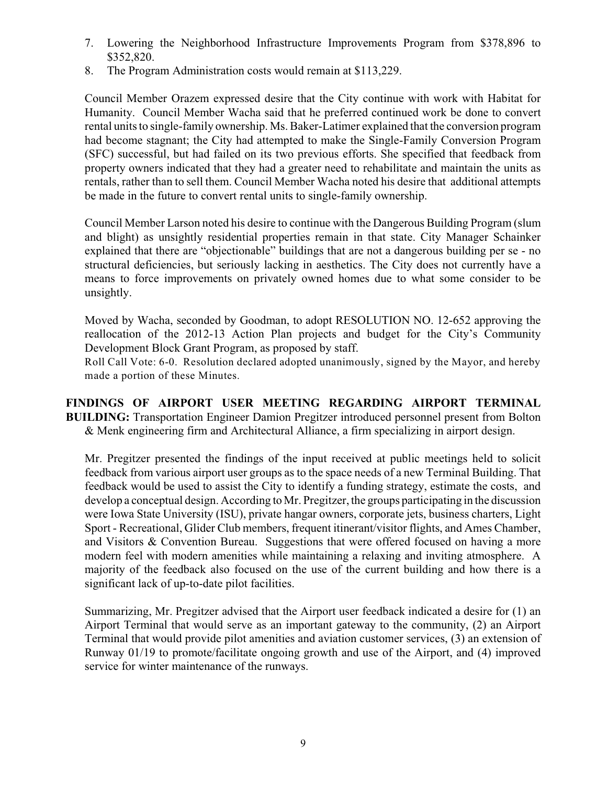- 7. Lowering the Neighborhood Infrastructure Improvements Program from \$378,896 to \$352,820.
- 8. The Program Administration costs would remain at \$113,229.

Council Member Orazem expressed desire that the City continue with work with Habitat for Humanity. Council Member Wacha said that he preferred continued work be done to convert rental units to single-family ownership. Ms. Baker-Latimer explained that the conversion program had become stagnant; the City had attempted to make the Single-Family Conversion Program (SFC) successful, but had failed on its two previous efforts. She specified that feedback from property owners indicated that they had a greater need to rehabilitate and maintain the units as rentals, rather than to sell them. Council Member Wacha noted his desire that additional attempts be made in the future to convert rental units to single-family ownership.

Council Member Larson noted his desire to continue with the Dangerous Building Program (slum and blight) as unsightly residential properties remain in that state. City Manager Schainker explained that there are "objectionable" buildings that are not a dangerous building per se - no structural deficiencies, but seriously lacking in aesthetics. The City does not currently have a means to force improvements on privately owned homes due to what some consider to be unsightly.

Moved by Wacha, seconded by Goodman, to adopt RESOLUTION NO. 12-652 approving the reallocation of the 2012-13 Action Plan projects and budget for the City's Community Development Block Grant Program, as proposed by staff.

Roll Call Vote: 6-0. Resolution declared adopted unanimously, signed by the Mayor, and hereby made a portion of these Minutes.

**FINDINGS OF AIRPORT USER MEETING REGARDING AIRPORT TERMINAL BUILDING:** Transportation Engineer Damion Pregitzer introduced personnel present from Bolton & Menk engineering firm and Architectural Alliance, a firm specializing in airport design.

Mr. Pregitzer presented the findings of the input received at public meetings held to solicit feedback from various airport user groups as to the space needs of a new Terminal Building. That feedback would be used to assist the City to identify a funding strategy, estimate the costs, and develop a conceptual design. According to Mr. Pregitzer, the groups participating in the discussion were Iowa State University (ISU), private hangar owners, corporate jets, business charters, Light Sport - Recreational, Glider Club members, frequent itinerant/visitor flights, and Ames Chamber, and Visitors & Convention Bureau. Suggestions that were offered focused on having a more modern feel with modern amenities while maintaining a relaxing and inviting atmosphere. A majority of the feedback also focused on the use of the current building and how there is a significant lack of up-to-date pilot facilities.

Summarizing, Mr. Pregitzer advised that the Airport user feedback indicated a desire for (1) an Airport Terminal that would serve as an important gateway to the community, (2) an Airport Terminal that would provide pilot amenities and aviation customer services, (3) an extension of Runway 01/19 to promote/facilitate ongoing growth and use of the Airport, and (4) improved service for winter maintenance of the runways.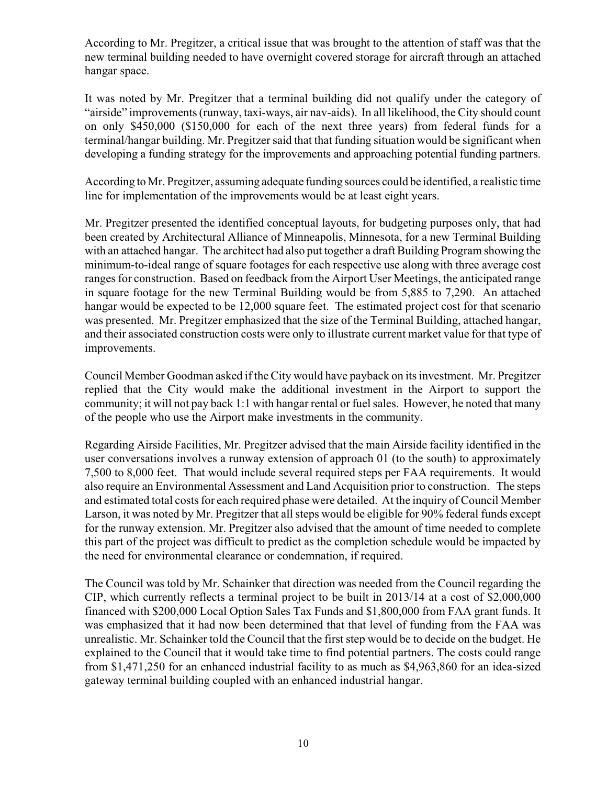According to Mr. Pregitzer, a critical issue that was brought to the attention of staff was that the new terminal building needed to have overnight covered storage for aircraft through an attached hangar space.

It was noted by Mr. Pregitzer that a terminal building did not qualify under the category of "airside" improvements (runway, taxi-ways, air nav-aids). In all likelihood, the City should count on only \$450,000 (\$150,000 for each of the next three years) from federal funds for a terminal/hangar building. Mr. Pregitzer said that that funding situation would be significant when developing a funding strategy for the improvements and approaching potential funding partners.

According to Mr. Pregitzer, assuming adequate funding sources could be identified, a realistic time line for implementation of the improvements would be at least eight years.

Mr. Pregitzer presented the identified conceptual layouts, for budgeting purposes only, that had been created by Architectural Alliance of Minneapolis, Minnesota, for a new Terminal Building with an attached hangar. The architect had also put together a draft Building Program showing the minimum-to-ideal range of square footages for each respective use along with three average cost ranges for construction. Based on feedback from the Airport User Meetings, the anticipated range in square footage for the new Terminal Building would be from 5,885 to 7,290. An attached hangar would be expected to be 12,000 square feet. The estimated project cost for that scenario was presented. Mr. Pregitzer emphasized that the size of the Terminal Building, attached hangar, and their associated construction costs were only to illustrate current market value for that type of improvements.

Council Member Goodman asked if the City would have payback on its investment. Mr. Pregitzer replied that the City would make the additional investment in the Airport to support the community; it will not pay back 1:1 with hangar rental or fuel sales. However, he noted that many of the people who use the Airport make investments in the community.

Regarding Airside Facilities, Mr. Pregitzer advised that the main Airside facility identified in the user conversations involves a runway extension of approach 01 (to the south) to approximately 7,500 to 8,000 feet. That would include several required steps per FAA requirements. It would also require an Environmental Assessment and Land Acquisition prior to construction. The steps and estimated total costs for each required phase were detailed. At the inquiry of Council Member Larson, it was noted by Mr. Pregitzer that all steps would be eligible for 90% federal funds except for the runway extension. Mr. Pregitzer also advised that the amount of time needed to complete this part of the project was difficult to predict as the completion schedule would be impacted by the need for environmental clearance or condemnation, if required.

The Council was told by Mr. Schainker that direction was needed from the Council regarding the CIP, which currently reflects a terminal project to be built in 2013/14 at a cost of \$2,000,000 financed with \$200,000 Local Option Sales Tax Funds and \$1,800,000 from FAA grant funds. It was emphasized that it had now been determined that that level of funding from the FAA was unrealistic. Mr. Schainker told the Council that the first step would be to decide on the budget. He explained to the Council that it would take time to find potential partners. The costs could range from \$1,471,250 for an enhanced industrial facility to as much as \$4,963,860 for an idea-sized gateway terminal building coupled with an enhanced industrial hangar.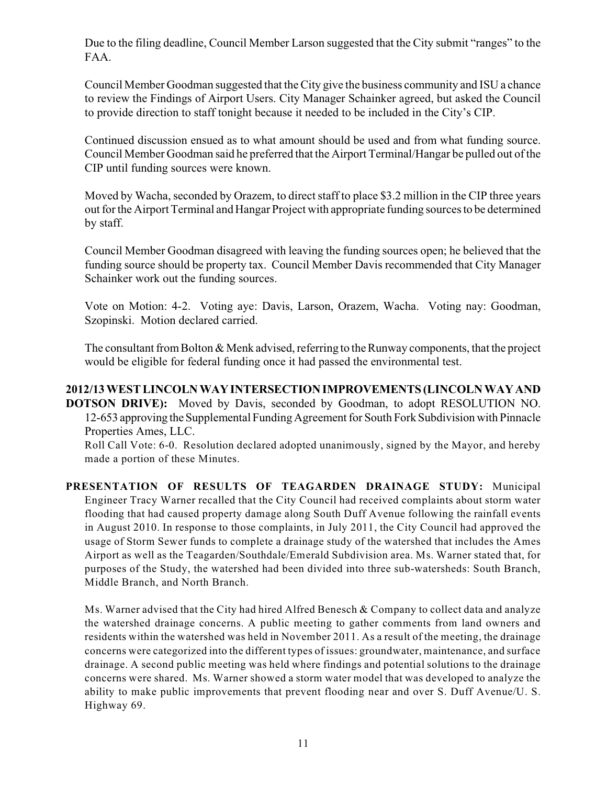Due to the filing deadline, Council Member Larson suggested that the City submit "ranges" to the FAA.

Council Member Goodman suggested that the City give the business community and ISU a chance to review the Findings of Airport Users. City Manager Schainker agreed, but asked the Council to provide direction to staff tonight because it needed to be included in the City's CIP.

Continued discussion ensued as to what amount should be used and from what funding source. Council Member Goodman said he preferred that the Airport Terminal/Hangar be pulled out of the CIP until funding sources were known.

Moved by Wacha, seconded by Orazem, to direct staff to place \$3.2 million in the CIP three years out for the Airport Terminal and Hangar Project with appropriate funding sources to be determined by staff.

Council Member Goodman disagreed with leaving the funding sources open; he believed that the funding source should be property tax. Council Member Davis recommended that City Manager Schainker work out the funding sources.

Vote on Motion: 4-2. Voting aye: Davis, Larson, Orazem, Wacha. Voting nay: Goodman, Szopinski. Motion declared carried.

The consultant from Bolton & Menk advised, referring to the Runway components, that the project would be eligible for federal funding once it had passed the environmental test.

# **2012/13 WEST LINCOLN WAY INTERSECTION IMPROVEMENTS (LINCOLN WAY AND DOTSON DRIVE):** Moved by Davis, seconded by Goodman, to adopt RESOLUTION NO. 12-653 approving the Supplemental Funding Agreement for South Fork Subdivision with Pinnacle Properties Ames, LLC.

Roll Call Vote: 6-0. Resolution declared adopted unanimously, signed by the Mayor, and hereby made a portion of these Minutes.

**PRESENTATION OF RESULTS OF TEAGARDEN DRAINAGE STUDY:** Municipal Engineer Tracy Warner recalled that the City Council had received complaints about storm water flooding that had caused property damage along South Duff Avenue following the rainfall events in August 2010. In response to those complaints, in July 2011, the City Council had approved the usage of Storm Sewer funds to complete a drainage study of the watershed that includes the Ames Airport as well as the Teagarden/Southdale/Emerald Subdivision area. Ms. Warner stated that, for purposes of the Study, the watershed had been divided into three sub-watersheds: South Branch, Middle Branch, and North Branch.

Ms. Warner advised that the City had hired Alfred Benesch & Company to collect data and analyze the watershed drainage concerns. A public meeting to gather comments from land owners and residents within the watershed was held in November 2011. As a result of the meeting, the drainage concerns were categorized into the different types of issues: groundwater, maintenance, and surface drainage. A second public meeting was held where findings and potential solutions to the drainage concerns were shared. Ms. Warner showed a storm water model that was developed to analyze the ability to make public improvements that prevent flooding near and over S. Duff Avenue/U. S. Highway 69.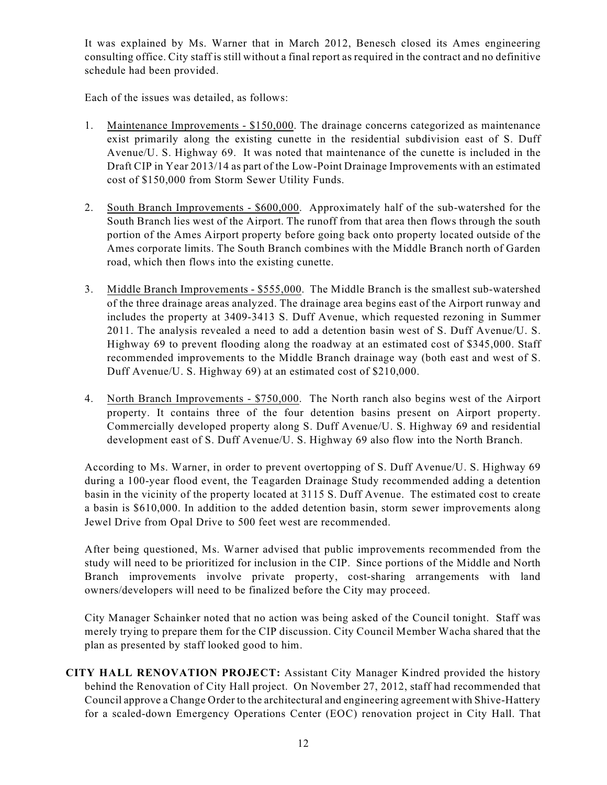It was explained by Ms. Warner that in March 2012, Benesch closed its Ames engineering consulting office. City staff is still without a final report as required in the contract and no definitive schedule had been provided.

Each of the issues was detailed, as follows:

- 1. Maintenance Improvements \$150,000. The drainage concerns categorized as maintenance exist primarily along the existing cunette in the residential subdivision east of S. Duff Avenue/U. S. Highway 69. It was noted that maintenance of the cunette is included in the Draft CIP in Year 2013/14 as part of the Low-Point Drainage Improvements with an estimated cost of \$150,000 from Storm Sewer Utility Funds.
- 2. South Branch Improvements \$600,000. Approximately half of the sub-watershed for the South Branch lies west of the Airport. The runoff from that area then flows through the south portion of the Ames Airport property before going back onto property located outside of the Ames corporate limits. The South Branch combines with the Middle Branch north of Garden road, which then flows into the existing cunette.
- 3. Middle Branch Improvements \$555,000. The Middle Branch is the smallest sub-watershed of the three drainage areas analyzed. The drainage area begins east of the Airport runway and includes the property at 3409-3413 S. Duff Avenue, which requested rezoning in Summer 2011. The analysis revealed a need to add a detention basin west of S. Duff Avenue/U. S. Highway 69 to prevent flooding along the roadway at an estimated cost of \$345,000. Staff recommended improvements to the Middle Branch drainage way (both east and west of S. Duff Avenue/U. S. Highway 69) at an estimated cost of \$210,000.
- 4. North Branch Improvements \$750,000. The North ranch also begins west of the Airport property. It contains three of the four detention basins present on Airport property. Commercially developed property along S. Duff Avenue/U. S. Highway 69 and residential development east of S. Duff Avenue/U. S. Highway 69 also flow into the North Branch.

According to Ms. Warner, in order to prevent overtopping of S. Duff Avenue/U. S. Highway 69 during a 100-year flood event, the Teagarden Drainage Study recommended adding a detention basin in the vicinity of the property located at 3115 S. Duff Avenue. The estimated cost to create a basin is \$610,000. In addition to the added detention basin, storm sewer improvements along Jewel Drive from Opal Drive to 500 feet west are recommended.

After being questioned, Ms. Warner advised that public improvements recommended from the study will need to be prioritized for inclusion in the CIP. Since portions of the Middle and North Branch improvements involve private property, cost-sharing arrangements with land owners/developers will need to be finalized before the City may proceed.

City Manager Schainker noted that no action was being asked of the Council tonight. Staff was merely trying to prepare them for the CIP discussion. City Council Member Wacha shared that the plan as presented by staff looked good to him.

**CITY HALL RENOVATION PROJECT:** Assistant City Manager Kindred provided the history behind the Renovation of City Hall project. On November 27, 2012, staff had recommended that Council approve a Change Order to the architectural and engineering agreement with Shive-Hattery for a scaled-down Emergency Operations Center (EOC) renovation project in City Hall. That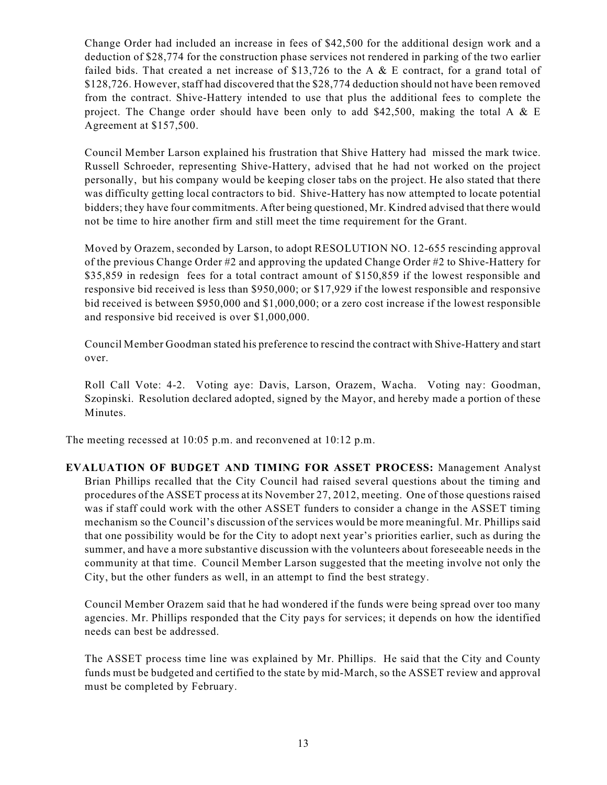Change Order had included an increase in fees of \$42,500 for the additional design work and a deduction of \$28,774 for the construction phase services not rendered in parking of the two earlier failed bids. That created a net increase of \$13,726 to the A  $\&$  E contract, for a grand total of \$128,726. However, staff had discovered that the \$28,774 deduction should not have been removed from the contract. Shive-Hattery intended to use that plus the additional fees to complete the project. The Change order should have been only to add \$42,500, making the total A  $& E$ Agreement at \$157,500.

Council Member Larson explained his frustration that Shive Hattery had missed the mark twice. Russell Schroeder, representing Shive-Hattery, advised that he had not worked on the project personally, but his company would be keeping closer tabs on the project. He also stated that there was difficulty getting local contractors to bid. Shive-Hattery has now attempted to locate potential bidders; they have four commitments. After being questioned, Mr. Kindred advised that there would not be time to hire another firm and still meet the time requirement for the Grant.

Moved by Orazem, seconded by Larson, to adopt RESOLUTION NO. 12-655 rescinding approval of the previous Change Order #2 and approving the updated Change Order #2 to Shive-Hattery for \$35,859 in redesign fees for a total contract amount of \$150,859 if the lowest responsible and responsive bid received is less than \$950,000; or \$17,929 if the lowest responsible and responsive bid received is between \$950,000 and \$1,000,000; or a zero cost increase if the lowest responsible and responsive bid received is over \$1,000,000.

Council Member Goodman stated his preference to rescind the contract with Shive-Hattery and start over.

Roll Call Vote: 4-2. Voting aye: Davis, Larson, Orazem, Wacha. Voting nay: Goodman, Szopinski. Resolution declared adopted, signed by the Mayor, and hereby made a portion of these Minutes.

The meeting recessed at 10:05 p.m. and reconvened at 10:12 p.m.

**EVALUATION OF BUDGET AND TIMING FOR ASSET PROCESS:** Management Analyst Brian Phillips recalled that the City Council had raised several questions about the timing and procedures of the ASSET process at its November 27, 2012, meeting. One of those questions raised was if staff could work with the other ASSET funders to consider a change in the ASSET timing mechanism so the Council's discussion of the services would be more meaningful. Mr. Phillips said that one possibility would be for the City to adopt next year's priorities earlier, such as during the summer, and have a more substantive discussion with the volunteers about foreseeable needs in the community at that time. Council Member Larson suggested that the meeting involve not only the City, but the other funders as well, in an attempt to find the best strategy.

Council Member Orazem said that he had wondered if the funds were being spread over too many agencies. Mr. Phillips responded that the City pays for services; it depends on how the identified needs can best be addressed.

The ASSET process time line was explained by Mr. Phillips. He said that the City and County funds must be budgeted and certified to the state by mid-March, so the ASSET review and approval must be completed by February.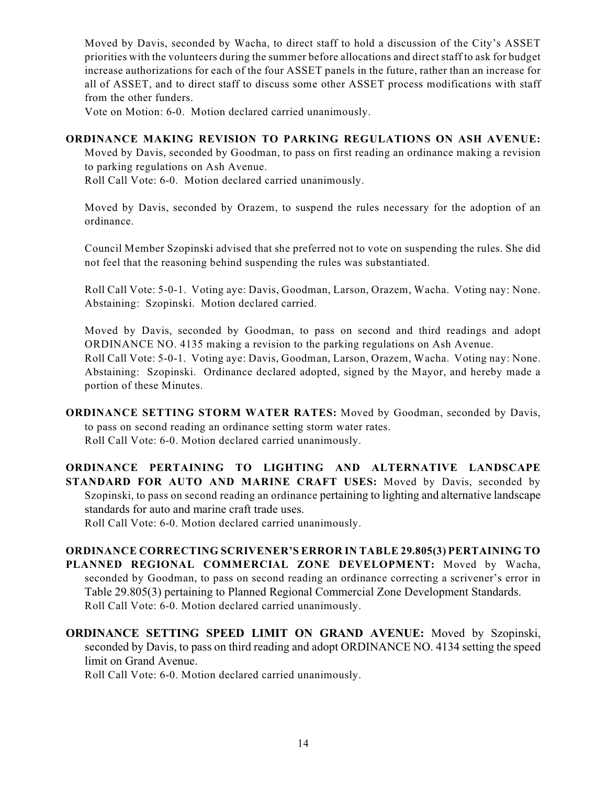Moved by Davis, seconded by Wacha, to direct staff to hold a discussion of the City's ASSET priorities with the volunteers during the summer before allocations and direct staff to ask for budget increase authorizations for each of the four ASSET panels in the future, rather than an increase for all of ASSET, and to direct staff to discuss some other ASSET process modifications with staff from the other funders.

Vote on Motion: 6-0. Motion declared carried unanimously.

#### **ORDINANCE MAKING REVISION TO PARKING REGULATIONS ON ASH AVENUE:**

Moved by Davis, seconded by Goodman, to pass on first reading an ordinance making a revision to parking regulations on Ash Avenue.

Roll Call Vote: 6-0. Motion declared carried unanimously.

Moved by Davis, seconded by Orazem, to suspend the rules necessary for the adoption of an ordinance.

Council Member Szopinski advised that she preferred not to vote on suspending the rules. She did not feel that the reasoning behind suspending the rules was substantiated.

Roll Call Vote: 5-0-1. Voting aye: Davis, Goodman, Larson, Orazem, Wacha. Voting nay: None. Abstaining: Szopinski. Motion declared carried.

Moved by Davis, seconded by Goodman, to pass on second and third readings and adopt ORDINANCE NO. 4135 making a revision to the parking regulations on Ash Avenue. Roll Call Vote: 5-0-1. Voting aye: Davis, Goodman, Larson, Orazem, Wacha. Voting nay: None. Abstaining: Szopinski. Ordinance declared adopted, signed by the Mayor, and hereby made a portion of these Minutes.

**ORDINANCE SETTING STORM WATER RATES:** Moved by Goodman, seconded by Davis, to pass on second reading an ordinance setting storm water rates. Roll Call Vote: 6-0. Motion declared carried unanimously.

**ORDINANCE PERTAINING TO LIGHTING AND ALTERNATIVE LANDSCAPE STANDARD FOR AUTO AND MARINE CRAFT USES:** Moved by Davis, seconded by Szopinski, to pass on second reading an ordinance pertaining to lighting and alternative landscape standards for auto and marine craft trade uses.

Roll Call Vote: 6-0. Motion declared carried unanimously.

**ORDINANCE CORRECTING SCRIVENER'S ERROR IN TABLE 29.805(3) PERTAINING TO PLANNED REGIONAL COMMERCIAL ZONE DEVELOPMENT:** Moved by Wacha, seconded by Goodman, to pass on second reading an ordinance correcting a scrivener's error in Table 29.805(3) pertaining to Planned Regional Commercial Zone Development Standards. Roll Call Vote: 6-0. Motion declared carried unanimously.

**ORDINANCE SETTING SPEED LIMIT ON GRAND AVENUE:** Moved by Szopinski, seconded by Davis, to pass on third reading and adopt ORDINANCE NO. 4134 setting the speed limit on Grand Avenue.

Roll Call Vote: 6-0. Motion declared carried unanimously.